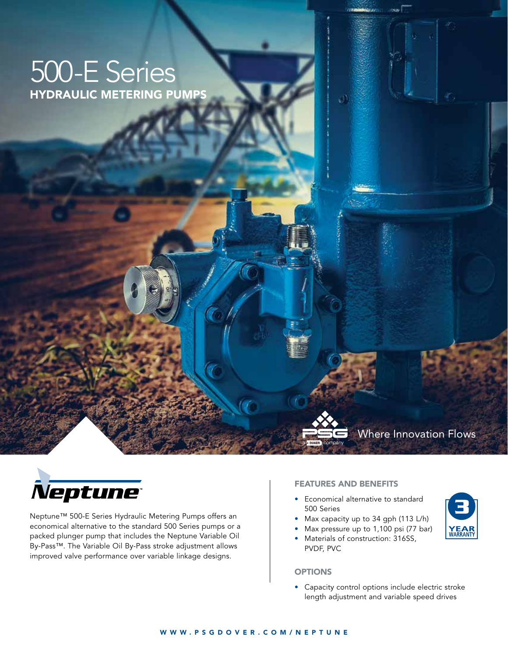# 500-E Series HYDRAULIC METERING PUMPS



**YEAR**<br>WARRANTY



Neptune™ 500-E Series Hydraulic Metering Pumps offers an economical alternative to the standard 500 Series pumps or a packed plunger pump that includes the Neptune Variable Oil By-Pass™. The Variable Oil By-Pass stroke adjustment allows improved valve performance over variable linkage designs.

#### FEATURES AND BENEFITS

- Economical alternative to standard 500 Series
- Max capacity up to 34 gph (113 L/h)
- Max pressure up to 1,100 psi (77 bar)
- Materials of construction: 316SS,

#### **OPTIONS**

PVDF, PVC

• Capacity control options include electric stroke length adjustment and variable speed drives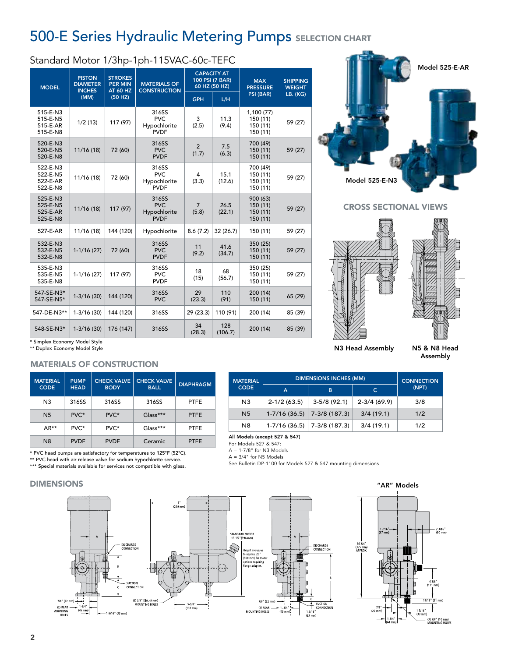# **500-E Series Hydraulic Metering Pumps SELECTION CHART**

## Standard Motor 1/3hp-1ph-115VAC-60c-TEFC

|                                              |                                                           |                                                                | ю                                                  |                                                        |                |                                                |                                  |
|----------------------------------------------|-----------------------------------------------------------|----------------------------------------------------------------|----------------------------------------------------|--------------------------------------------------------|----------------|------------------------------------------------|----------------------------------|
| <b>MODEL</b>                                 | <b>PISTON</b><br><b>DIAMETER</b><br><b>INCHES</b><br>(MM) | <b>STROKES</b><br><b>PER MIN</b><br><b>AT 60 HZ</b><br>(50 HZ) | <b>MATERIALS OF</b><br><b>CONSTRUCTION</b>         | <b>CAPACITY AT</b><br>100 PSI (7 BAR)<br>60 HZ (50 HZ) |                | <b>MAX</b><br><b>PRESSURE</b>                  | <b>SHIPPING</b><br><b>WEIGHT</b> |
|                                              |                                                           |                                                                |                                                    | <b>GPH</b>                                             | L/H            | PSI (BAR)                                      | LB. (KG)                         |
| 515-E-N3<br>515-E-N5<br>515-E-AR<br>515-E-N8 | 1/2(13)                                                   | 117 (97)                                                       | 316SS<br><b>PVC</b><br>Hypochlorite<br><b>PVDF</b> | 3<br>(2.5)                                             | 11.3<br>(9.4)  | 1,100 (77)<br>150 (11)<br>150 (11)<br>150 (11) | 59 (27)                          |
| 520-E-N3<br>520-E-N5<br>520-E-N8             | 11/16 (18)                                                | 72 (60)                                                        | 316SS<br><b>PVC</b><br><b>PVDF</b>                 | $\overline{2}$<br>(1.7)                                | 7.5<br>(6.3)   | 700 (49)<br>150 (11)<br>150 (11)               | 59 (27)                          |
| 522-E-N3<br>522-E-N5<br>522-E-AR<br>522-E-N8 | 11/16 (18)                                                | 72 (60)                                                        | 316SS<br><b>PVC</b><br>Hypochlorite<br><b>PVDF</b> | 4<br>(3.3)                                             | 15.1<br>(12.6) | 700 (49)<br>150 (11)<br>150 (11)<br>150 (11)   | 59 (27)                          |
| 525-E-N3<br>525-E-N5<br>525-E-AR<br>525-E-N8 | 11/16 (18)                                                | 117 (97)                                                       | 316SS<br><b>PVC</b><br>Hypochlorite<br><b>PVDF</b> | $\overline{7}$<br>(5.8)                                | 26.5<br>(22.1) | 900 (63)<br>150 (11)<br>150 (11)<br>150 (11)   | 59 (27)                          |
| 527-E-AR                                     | 11/16 (18)                                                | 144 (120)                                                      | Hypochlorite                                       | 8.6(7.2)                                               | 32(26.7)       | 150 (11)                                       | 59 (27)                          |
| 532-E-N3<br>532-E-N5<br>532-E-N8             | $1-1/16(27)$                                              | 72 (60)                                                        | 316SS<br><b>PVC</b><br><b>PVDF</b>                 | 11<br>(9.2)                                            | 41.6<br>(34.7) | 350 (25)<br>150 (11)<br>150 (11)               | 59 (27)                          |
| 535-E-N3<br>535-E-N5<br>535-E-N8             | $1-1/16(27)$                                              | 117 (97)                                                       | 316SS<br>PVC.<br><b>PVDF</b>                       | 18<br>(15)                                             | 68<br>(56.7)   | 350 (25)<br>150 (11)<br>150 (11)               | 59 (27)                          |
| 547-SE-N3*<br>547-SE-N5*                     | $1-3/16(30)$                                              | 144 (120)                                                      | 316SS<br><b>PVC</b>                                | 29<br>(23.3)                                           | 110<br>(91)    | 200 (14)<br>150 (11)                           | 65 (29)                          |
| 547-DE-N3**                                  | $1-3/16(30)$                                              | 144 (120)                                                      | 316SS                                              | 29 (23.3)                                              | 110 (91)       | 200 (14)                                       | 85 (39)                          |
| 548-SE-N3*                                   | $1-3/16(30)$                                              | 176 (147)                                                      | 316SS                                              | 34<br>(28.3)                                           | 128<br>(106.7) | 200 (14)                                       | 85 (39)                          |

Model 525-E-N3 Model 525-E-AR

CROSS SECTIONAL VIEWS



Assembly

\* Simplex Economy Model Style \*\* Duplex Economy Model Style

#### MATERIALS OF CONSTRUCTION

| <b>MATERIAL</b><br><b>CODE</b> | <b>PUMP</b><br><b>HEAD</b> | <b>CHECK VALVE</b><br><b>BODY</b> | <b>CHECK VALVE</b><br><b>BALL</b> | <b>DIAPHRAGM</b> |
|--------------------------------|----------------------------|-----------------------------------|-----------------------------------|------------------|
| N <sub>3</sub>                 | 316SS                      | 316SS                             | 316SS                             | <b>PTFE</b>      |
| N <sub>5</sub>                 | PVC*                       | PVC*                              | Glass***                          | <b>PTFE</b>      |
| AR**                           | PVC*                       | PVC*                              | $Glass***$                        | <b>PTFE</b>      |
| N <sub>8</sub>                 | <b>PVDF</b>                | <b>PVDF</b>                       | Ceramic                           | <b>PTFE</b>      |

\* PVC head pumps are satisfactory for temperatures to 125°F (52°C).

\*\* PVC head with air release valve for sodium hypochlorite service.

\*\*\* Special materials available for services not compatible with glass.

#### DIMENSIONS



N8 1-7/16 (36.5) 7-3/8 (187.3) 3/4 (19.1) 1/2 All Models (except 527 & 547) A = 1-7/8" for N3 Models

N3  $\begin{array}{|c|c|c|c|c|c|c|c|c|} \hline \text{N3} & 2-\frac{1}{2} & 3-\frac{5}{8} & 3-\frac{5}{8} & 92.1 & 2-\frac{3}{4} & (69.9) & 3/\frac{8}{4} \\\hline \end{array}$ N5 1-7/16 (36.5) 7-3/8 (187.3) 3/4 (19.1) 1/2

DIMENSIONS INCHES (MM) CONNECTION A | B | C | <sup>(NPT)</sup>

 $A = 3/4$ " for N5 Models See Bulletin DP-1100 for Models 527 & 547 mounting dimensions

**MATERIAL CODE** 

For Models 527 & 547:



# N3 Head Assembly N5 & N8 Head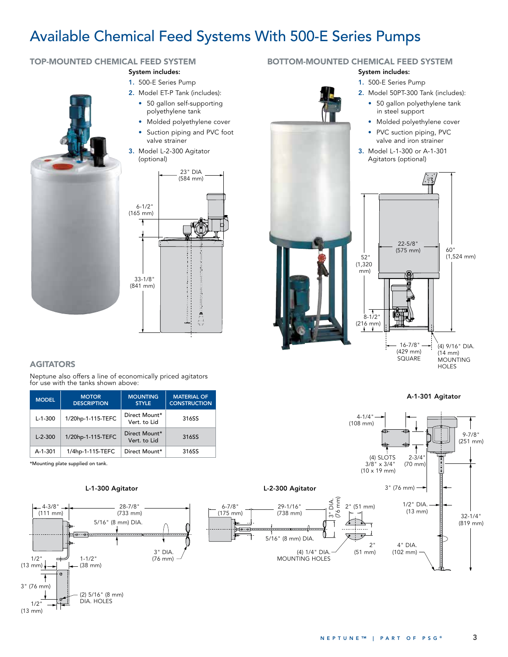# Available Chemical Feed Systems With 500-E Series Pumps

## TOP-MOUNTED CHEMICAL FEED SYSTEM

#### System includes:

- 1. 500-E Series Pump
- 2. Model ET-P Tank (includes):
	- 50 gallon self-supporting polyethylene tank
	- Molded polyethylene cover • Suction piping and PVC foot
- valve strainer 3. Model L-2-300 Agitator



#### **AGITATORS**

Neptune also offers a line of economically priced agitators for use with the tanks shown above:

| <b>MODEL</b>  | <b>MOTOR</b><br><b>DESCRIPTION</b> | <b>MOUNTING</b><br><b>STYLE</b> | <b>MATERIAL OF</b><br><b>CONSTRUCTION</b> |  |
|---------------|------------------------------------|---------------------------------|-------------------------------------------|--|
| $L-1-300$     | 1/20hp-1-115-TEFC                  | Direct Mount*<br>Vert. to Lid   | 316SS                                     |  |
| $L - 2 - 300$ | 1/20hp-1-115-TEFC                  | Direct Mount*<br>Vert. to Lid   | 316SS                                     |  |
| $A-1-301$     | 1/4hp-1-115-TEFC                   | Direct Mount*                   | 316SS                                     |  |

\*Mounting plate supplied on tank.

#### L-1-300 Agitator L-2-300 Agitator



#### BOTTOM-MOUNTED CHEMICAL FEED SYSTEM

#### System includes:

- 1. 500-E Series Pump
- 2. Model 50PT-300 Tank (includes): • 50 gallon polyethylene tank in steel support
	- Molded polyethylene cover
	- PVC suction piping, PVC valve and iron strainer
- 3. Model L-1-300 or A-1-301 Agitators (optional)







29-1/16" (738 mm)

5/16" (8 mm) DIA.

6-7/8" (175 mm)

 $rac{1}{P}$